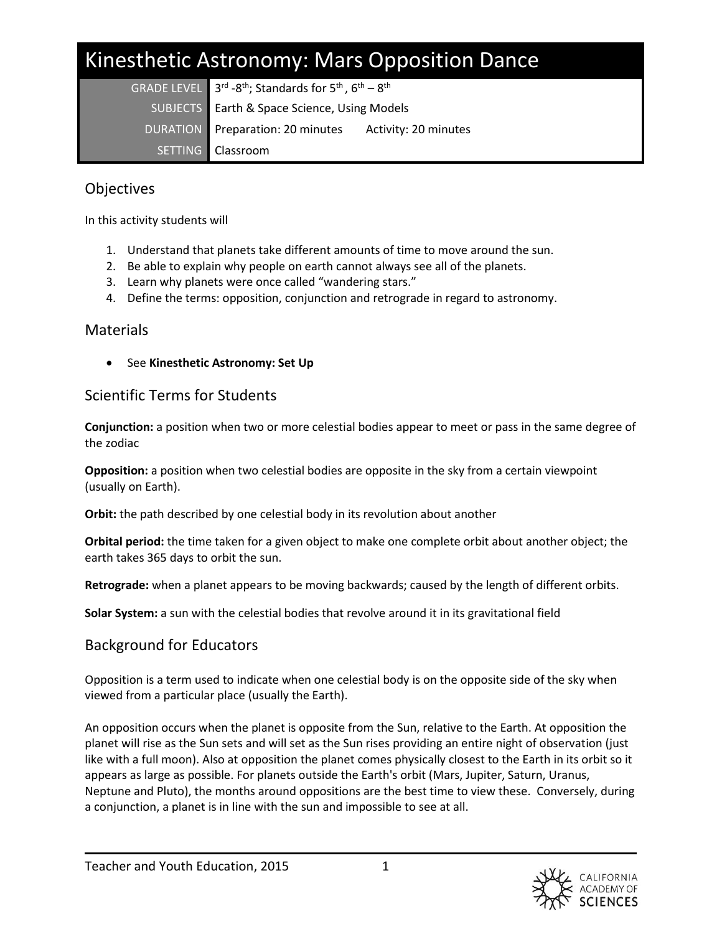# Kinesthetic Astronomy: Mars Opposition Dance

**GRADE LEVEL** <sup>rd</sup> -8<sup>th</sup>; Standards for 5<sup>th</sup>, 6<sup>th</sup> – 8<sup>th</sup> SUBJECTS Earth & Space Science, Using Models DURATION Preparation: 20 minutes Activity: 20 minutes SETTING Classroom

# **Objectives**

In this activity students will

- 1. Understand that planets take different amounts of time to move around the sun.
- 2. Be able to explain why people on earth cannot always see all of the planets.
- 3. Learn why planets were once called "wandering stars."
- 4. Define the terms: opposition, conjunction and retrograde in regard to astronomy.

## **Materials**

See **Kinesthetic Astronomy: Set Up**

# Scientific Terms for Students

**Conjunction:** a position when two or more celestial bodies appear to meet or pass in the same degree of the zodiac

**Opposition:** a position when two celestial bodies are opposite in the sky from a certain viewpoint (usually on Earth).

**Orbit:** the path described by one celestial body in its revolution about another

**Orbital period:** the time taken for a given object to make one complete orbit about another object; the earth takes 365 days to orbit the sun.

**Retrograde:** when a planet appears to be moving backwards; caused by the length of different orbits.

**Solar System:** a sun with the celestial bodies that revolve around it in its gravitational field

# Background for Educators

Opposition is a term used to indicate when one celestial body is on the opposite side of the sky when viewed from a particular place (usually the Earth).

An opposition occurs when the planet is opposite from the Sun, relative to the Earth. At opposition the planet will rise as the Sun sets and will set as the Sun rises providing an entire night of observation (just like with a full moon). Also at opposition the planet comes physically closest to the Earth in its orbit so it appears as large as possible. For planets outside the Earth's orbit (Mars, Jupiter, Saturn, Uranus, Neptune and Pluto), the months around oppositions are the best time to view these. Conversely, during a conjunction, a planet is in line with the sun and impossible to see at all.

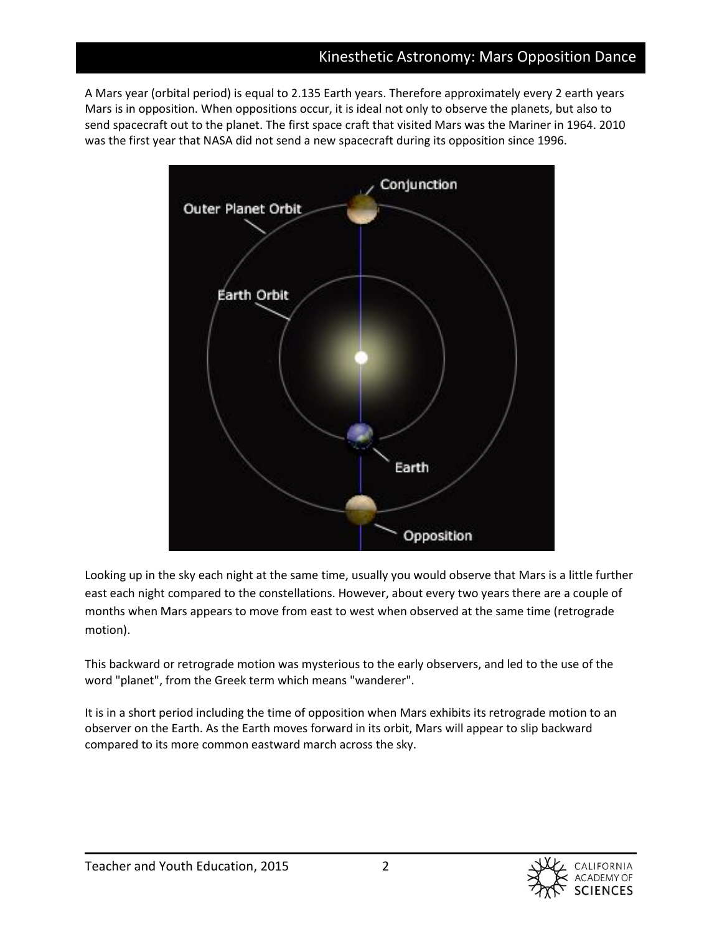A Mars year (orbital period) is equal to 2.135 Earth years. Therefore approximately every 2 earth years Mars is in opposition. When oppositions occur, it is ideal not only to observe the planets, but also to send spacecraft out to the planet. The first space craft that visited Mars was the Mariner in 1964. 2010 was the first year that NASA did not send a new spacecraft during its opposition since 1996.



Looking up in the sky each night at the same time, usually you would observe that Mars is a little further east each night compared to the constellations. However, about every two years there are a couple of months when Mars appears to move from east to west when observed at the same time (retrograde motion).

This backward or retrograde motion was mysterious to the early observers, and led to the use of the word "planet", from the Greek term which means "wanderer".

It is in a short period including the time of opposition when Mars exhibits its retrograde motion to an observer on the Earth. As the Earth moves forward in its orbit, Mars will appear to slip backward compared to its more common eastward march across the sky.

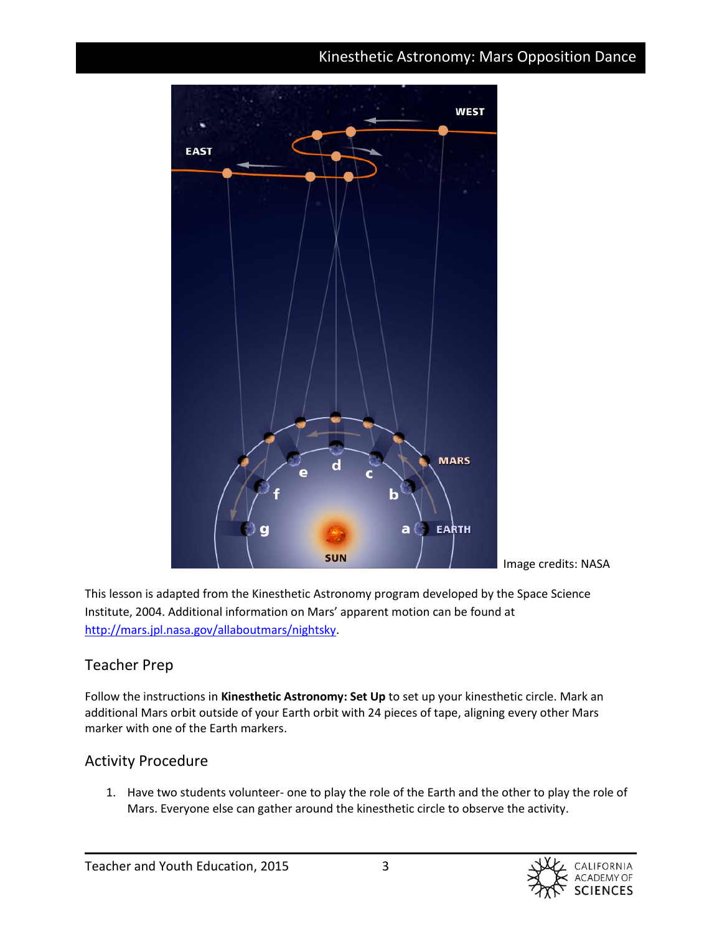# Kinesthetic Astronomy: Mars Opposition Dance



Image credits: NASA

This lesson is adapted from the Kinesthetic Astronomy program developed by the Space Science Institute, 2004. Additional information on Mars' apparent motion can be found at [http://mars.jpl.nasa.gov/allaboutmars/nightsky.](http://mars.jpl.nasa.gov/allaboutmars/nightsky)

#### Teacher Prep

Follow the instructions in **Kinesthetic Astronomy: Set Up** to set up your kinesthetic circle. Mark an additional Mars orbit outside of your Earth orbit with 24 pieces of tape, aligning every other Mars marker with one of the Earth markers.

## Activity Procedure

1. Have two students volunteer- one to play the role of the Earth and the other to play the role of Mars. Everyone else can gather around the kinesthetic circle to observe the activity.